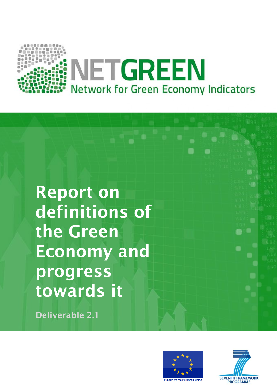

**Report on definitions of the Green Economy and progress towards it**

**Deliverable 2.1**



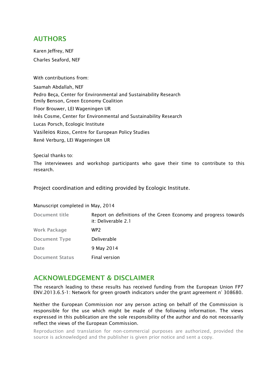#### **AUTHORS**

Karen Jeffrey, NEF Charles Seaford, NEF

#### With contributions from:

Saamah Abdallah, NEF Pedro Beça, Center for Environmental and Sustainability Research Emily Benson, Green Economy Coalition Floor Brouwer, LEI Wageningen UR Inês Cosme, Center for Environmental and Sustainability Research Lucas Porsch, Ecologic Institute Vasileios Rizos, Centre for European Policy Studies René Verburg, LEI Wageningen UR

Special thanks to:

The interviewees and workshop participants who gave their time to contribute to this research.

Project coordination and editing provided by Ecologic Institute.

#### Manuscript completed in May, 2014

| Document title         | Report on definitions of the Green Economy and progress towards<br>it: Deliverable 2.1 |
|------------------------|----------------------------------------------------------------------------------------|
| <b>Work Package</b>    | WP2                                                                                    |
| <b>Document Type</b>   | Deliverable                                                                            |
| Date                   | 9 May 2014                                                                             |
| <b>Document Status</b> | Final version                                                                          |

#### **ACKNOWLEDGEMENT & DISCLAIMER**

The research leading to these results has received funding from the European Union FP7 ENV.2013.6.5-1: Network for green growth indicators under the grant agreement n° 308680.

Neither the European Commission nor any person acting on behalf of the Commission is responsible for the use which might be made of the following information. The views expressed in this publication are the sole responsibility of the author and do not necessarily reflect the views of the European Commission.

Reproduction and translation for non-commercial purposes are authorized, provided the source is acknowledged and the publisher is given prior notice and sent a copy.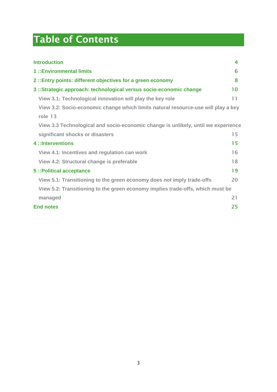# **Table of Contents**

<span id="page-2-0"></span>

| <b>Introduction</b>                                                               | 4  |
|-----------------------------------------------------------------------------------|----|
| 1:: Environmental limits                                                          | 6  |
| 2: Entry points: different objectives for a green economy                         | 8  |
| 3 :: Strategic approach: technological versus socio-economic change               | 10 |
| View 3.1: Technological innovation will play the key role                         | 11 |
| View 3.2: Socio-economic change which limits natural resource-use will play a key |    |
| role 13                                                                           |    |
| View 3.3 Technological and socio-economic change is unlikely, until we experience |    |
| significant shocks or disasters                                                   | 15 |
| 4 :: Interventions                                                                | 15 |
| View 4.1: Incentives and regulation can work                                      | 16 |
| View 4.2: Structural change is preferable                                         | 18 |
| 5 :: Political acceptance                                                         | 19 |
| View 5.1: Transitioning to the green economy does not imply trade-offs            | 20 |
| View 5.2: Transitioning to the green economy implies trade-offs, which must be    |    |
| managed                                                                           | 21 |
| <b>End notes</b>                                                                  | 25 |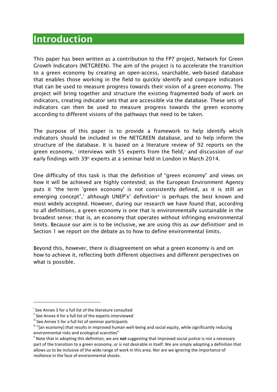## **Introduction**

This paper has been written as a contribution to the FP7 project, Network for Green Growth Indicators (NETGREEN). The aim of the project is to accelerate the transition to a green economy by creating an open-access, searchable, web-based database that enables those working in the field to quickly identify and compare indicators that can be used to measure progress towards their vision of a green economy. The project will bring together and structure the existing fragmented body of work on indicators, creating indicator sets that are accessible via the database. These sets of indicators can then be used to measure progress towards the green economy according to different visions of the pathways that need to be taken.

The purpose of this paper is to provide a framework to help identify which indicators should be included in the NETGREEN database, and to help inform the structure of the database. It is based on a literature review of 92 reports on the green economy, interviews with 55 experts from the field," and discussion of our early findings with 39<sup>ii</sup> experts at a seminar held in London in March 2014.

One difficulty of this task is that the definition of "green economy" and views on how it will be achieved are highly contested; as the European Environment Agency puts it "the term 'green economy' is not consistently defined, as it is still an emerging concept",<sup>1</sup> although UNEP's<sup>2</sup> definition<sup> $iv$ </sup> is perhaps the best known and most widely accepted. However, during our research we have found that, according to all definitions, a green economy is one that is environmentally sustainable in the broadest sense; that is, an economy that operates without infringing environmental limits. Because our aim is to be inclusive, we are using this as *our* definition<sup>y</sup> and in Section 1 we report on the debate as to how to define environmental limits.

Beyond this, however, there is disagreement on what a green economy is and on how to achieve it, reflecting both different objectives and different perspectives on what is possible.

-

i See Annex 3 for a full list of the literature consulted

ii See Annex 4 for a full list of the experts interviewed

iii See Annex 5 for a full list of seminar participants

<sup>&</sup>lt;sup>iv</sup> "[an economy] that results in improved human well-being and social equity, while significantly reducing environmental risks and ecological scarcities"

v Note that in adopting this definition, we are **not** suggesting that improved social justice is not a necessary part of the transition to a green economy, or is not desirable in itself. We are simply adopting a definition that allows us to be inclusive of the wide range of work in this area. Nor are we ignoring the importance of resilience in the face of environmental shocks.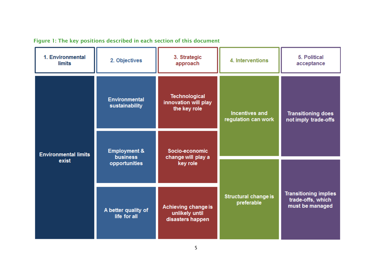| Figure 1: The key positions described in each section of this document |  |  |  |  |  |  |  |  |  |  |  |  |
|------------------------------------------------------------------------|--|--|--|--|--|--|--|--|--|--|--|--|
|------------------------------------------------------------------------|--|--|--|--|--|--|--|--|--|--|--|--|

| 1. Environmental<br><b>limits</b>    | 2. Objectives                                               | 3. Strategic<br>approach                                     | 4. Interventions                             | 5. Political<br>acceptance                                           |  |
|--------------------------------------|-------------------------------------------------------------|--------------------------------------------------------------|----------------------------------------------|----------------------------------------------------------------------|--|
| <b>Environmental limits</b><br>exist | <b>Environmental</b><br>sustainability                      | <b>Technological</b><br>innovation will play<br>the key role | <b>Incentives and</b><br>regulation can work | <b>Transitioning does</b><br>not imply trade-offs                    |  |
|                                      | <b>Employment &amp;</b><br><b>business</b><br>opportunities | Socio-economic<br>change will play a<br>key role             |                                              |                                                                      |  |
|                                      |                                                             |                                                              |                                              | <b>Transitioning implies</b><br>trade-offs, which<br>must be managed |  |
|                                      | A better quality of<br>life for all                         | Achieving change is<br>unlikely until<br>disasters happen    | <b>Structural change is</b><br>preferable    |                                                                      |  |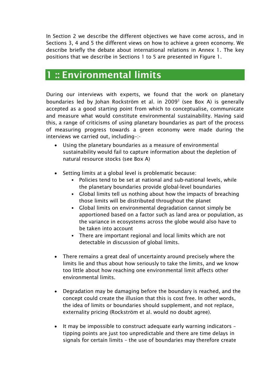In Section 2 we describe the different objectives we have come across, and in Sections 3, 4 and 5 the different views on how to achieve a green economy. We describe briefly the debate about international relations in Annex 1. The key positions that we describe in Sections 1 to 5 are presented in Figure 1.

## <span id="page-5-0"></span>**1 :: Environmental limits**

During our interviews with experts, we found that the work on planetary boundaries led by Johan Rockström et al. in 2009<sup>3</sup> (see Box A) is generally accepted as a good starting point from which to conceptualise, communicate and measure what would constitute environmental sustainability. Having said this, a range of criticisms of using planetary boundaries as part of the process of measuring progress towards a green economy were made during the interviews we carried out, including–:-

- Using the planetary boundaries as a measure of environmental sustainability would fail to capture information about the depletion of natural resource stocks (see Box A)
- Setting limits at a global level is problematic because:
	- Policies tend to be set at national and sub-national levels, while the planetary boundaries provide global-level boundaries
	- Global limits tell us nothing about how the impacts of breaching those limits will be distributed throughout the planet
	- Global limits on environmental degradation cannot simply be apportioned based on a factor such as land area or population, as the variance in ecosystems across the globe would also have to be taken into account
	- There are important regional and local limits which are not detectable in discussion of global limits.
- There remains a great deal of uncertainty around precisely where the limits lie and thus about how seriously to take the limits, and we know too little about how reaching one environmental limit affects other environmental limits.
- Degradation may be damaging before the boundary is reached, and the concept could create the illusion that this is cost free. In other words, the idea of limits or boundaries should supplement, and not replace, externality pricing (Rockström et al. would no doubt agree).
- It may be impossible to construct adequate early warning indicators tipping points are just too unpredictable and there are time delays in signals for certain limits – the use of boundaries may therefore create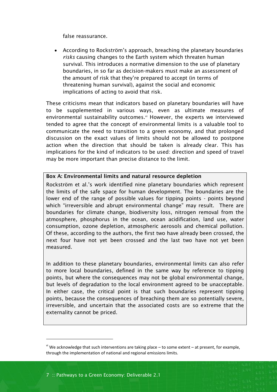false reassurance.

 According to Rockström's approach, breaching the planetary boundaries *risks* causing changes to the Earth system which threaten human survival. This introduces a normative dimension to the use of planetary boundaries, in so far as decision-makers must make an assessment of the amount of risk that they're prepared to accept (in terms of threatening human survival), against the social and economic implications of acting to avoid that risk.

These criticisms mean that indicators based on planetary boundaries will have to be supplemented in various ways, even as ultimate measures of environmental sustainability outcomes.<sup>vi</sup> However, the experts we interviewed tended to agree that the concept of environmental limits is a valuable tool to communicate the need to transition to a green economy, and that prolonged discussion on the exact values of limits should not be allowed to postpone action when the direction that should be taken is already clear. This has implications for the kind of indicators to be used: direction and speed of travel may be more important than precise distance to the limit.

#### **Box A: Environmental limits and natural resource depletion**

Rockström et al.'s work identified nine planetary boundaries which represent the limits of the safe space for human development. The boundaries are the lower end of the range of possible values for tipping points - points beyond which "irreversible and abrupt environmental change" may result. There are boundaries for climate change, biodiversity loss, nitrogen removal from the atmosphere, phosphorus in the ocean, ocean acidification, land use, water consumption, ozone depletion, atmospheric aerosols and chemical pollution. Of these, according to the authors, the first two have already been crossed, the next four have not yet been crossed and the last two have not yet been measured.

In addition to these planetary boundaries, environmental limits can also refer to more local boundaries, defined in the same way by reference to tipping points, but where the consequences may not be global environmental change, but levels of degradation to the local environment agreed to be unacceptable. In either case, the critical point is that such boundaries represent tipping points, because the consequences of breaching them are so potentially severe, irreversible, and uncertain that the associated costs are so extreme that the externality cannot be priced.

1

 $v<sup>i</sup>$  We acknowledge that such interventions are taking place – to some extent – at present, for example, through the implementation of national and regional emissions limits.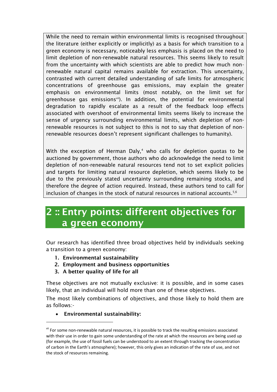While the need to remain within environmental limits is recognised throughout the literature (either explicitly or implicitly) as a basis for which transition to a green economy is necessary, noticeably less emphasis is placed on the need to limit depletion of non-renewable natural resources. This seems likely to result from the uncertainty with which scientists are able to predict how much nonrenewable natural capital remains available for extraction. This uncertainty, contrasted with current detailed understanding of safe limits for atmospheric concentrations of greenhouse gas emissions, may explain the greater emphasis on environmental limits (most notably, on the limit set for greenhouse gas emissionsvii). In addition, the potential for environmental degradation to rapidly escalate as a result of the feedback loop effects associated with overshoot of environmental limits seems likely to increase the sense of urgency surrounding environmental limits, which depletion of nonrenewable resources is not subject to (this is not to say that depletion of nonrenewable resources doesn't represent significant challenges to humanity).

With the exception of Herman Daly, $4$  who calls for depletion quotas to be auctioned by government, those authors who do acknowledge the need to limit depletion of non-renewable natural resources tend not to set explicit policies and targets for limiting natural resource depletion, which seems likely to be due to the previously stated uncertainty surrounding remaining stocks, and therefore the degree of action required. Instead, these authors tend to call for inclusion of changes in the stock of natural resources in national accounts. $5,6$ 

## <span id="page-7-0"></span>**2 :: Entry points: different objectives for a green economy**

Our research has identified three broad objectives held by individuals seeking a transition to a green economy:

- **1. Environmental sustainability**
- **2. Employment and business opportunities**
- **3. A better quality of life for all**

These objectives are not mutually exclusive: it is possible, and in some cases likely, that an individual will hold more than one of these objectives.

The most likely combinations of objectives, and those likely to hold them are as follows:-

**Environmental sustainability:**

l

vii For some non-renewable natural resources, it is possible to track the resulting emissions associated with their use in order to gain some understanding of the rate at which the resources are being used up (for example, the use of fossil fuels can be understood to an extent through tracking the concentration of carbon in the Earth's atmosphere); however, this only gives an indication of the rate of use, and not the stock of resources remaining.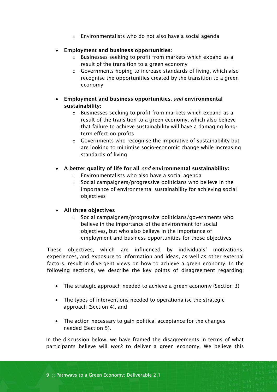- o Environmentalists who do not also have a social agenda
- **Employment and business opportunities:**
	- o Businesses seeking to profit from markets which expand as a result of the transition to a green economy
	- o Governments hoping to increase standards of living, which also recognise the opportunities created by the transition to a green economy
- **Employment and business opportunities,** *and* **environmental sustainability:**
	- o Businesses seeking to profit from markets which expand as a result of the transition to a green economy, which also believe that failure to achieve sustainability will have a damaging longterm effect on profits
	- o Governments who recognise the imperative of sustainability but are looking to minimise socio-economic change while increasing standards of living
- **A better quality of life for all** *and* **environmental sustainability:**
	- o Environmentalists who also have a social agenda
	- o Social campaigners/progressive politicians who believe in the importance of environmental sustainability for achieving social objectives

#### **All three objectives**

o Social campaigners/progressive politicians/governments who believe in the importance of the environment for social objectives, but who also believe in the importance of employment and business opportunities for those objectives

These objectives, which are influenced by individuals' motivations, experiences, and exposure to information and ideas, as well as other external factors, result in divergent views on how to achieve a green economy. In the following sections, we describe the key points of disagreement regarding:

- The strategic approach needed to achieve a green economy (Section 3)
- The types of interventions needed to operationalise the strategic approach (Section 4), and
- The action necessary to gain political acceptance for the changes needed (Section 5).

In the discussion below, we have framed the disagreements in terms of what participants believe will *work* to deliver a green economy. We believe this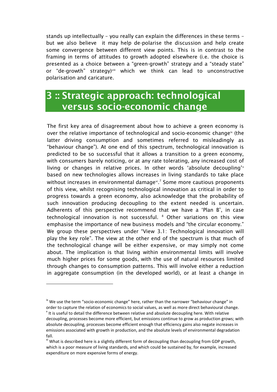stands up intellectually – you really can explain the differences in these terms – but we also believe it may help de-polarise the discussion and help create some convergence between different view points. This is in contrast to the framing in terms of attitudes to growth adopted elsewhere (i.e. the choice is presented as a choice between a "green-growth" strategy and a "steady state" or "de-growth" strategy)viii which we think can lead to unconstructive polarisation and caricature.

## <span id="page-9-0"></span>**3 :: Strategic approach: technological versus socio-economic change**

The first key area of disagreement about how to achieve a green economy is over the relative importance of technological and socio-economic change<sup>ix</sup> (the latter driving consumption and sometimes referred to misleadingly as "behaviour change"). At one end of this spectrum, technological innovation is predicted to be so successful that it allows a transition to a green economy, with consumers barely noticing, or at any rate tolerating, any increased cost of living or changes in relative prices. In other words 'absolute decoupling'<sup>x</sup> based on new technologies allows increases in living standards to take place without increases in environmental damage $^{xi}$ . Some more cautious proponents of this view, whilst recognising technological innovation as critical in order to progress towards a green economy, also acknowledge that the probability of such innovation producing decoupling to the extent needed is uncertain. Adherents of this perspective recommend that we have a 'Plan B', in case technological innovation is not successful. <sup>8</sup> Other variations on this view emphasise the importance of new business models and "the circular economy." We group these perspectives under "View 3.1: Technological innovation will play the key role". The view at the other end of the spectrum is that much of the technological change will be either expensive, or may simply not come about. The implication is that living within environmental limits will involve much higher prices for some goods, with the use of natural resources limited through changes to consumption patterns. This will involve either a reduction in aggregate consumption (in the developed world), or at least a change in

1

<sup>&</sup>lt;sup>ix</sup> We use the term "socio-economic change" here, rather than the narrower "behaviour change" in order to capture the relation of economics to social values, as well as more direct behavioural change.  $x$  It is useful to detail the difference between relative and absolute decoupling here. With relative decoupling, processes become more efficient, but emissions continue to grow as production grows; with absolute decoupling, processes become efficient enough that efficiency gains also negate increases in emissions associated with growth in production, and the absolute levels of environmental degradation fall.

<sup>&</sup>lt;sup>xi</sup> What is described here is a slightly different form of decoupling than decoupling from GDP growth, which is a poor measure of living standards, and which could be sustained by, for example, increased expenditure on more expensive forms of energy.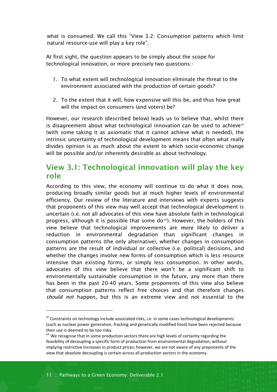what is consumed. We call this "View 3.2: Consumption patterns which limit natural resource-use will play a key role".

At first sight, the question appears to be simply about the scope for technological innovation, or more precisely two questions:-

- 1. To what extent will technological innovation eliminate the threat to the environment associated with the production of certain goods?
- 2. To the extent that it will, how expensive will this be, and thus how great will the impact on consumers (and voters) be?

However, our research (described below) leads us to believe that, whilst there is disagreement about what technological innovation can be used to achievexii (with some taking it as axiomatic that it cannot achieve what is needed), the intrinsic uncertainty of technological development means that often what really divides opinion is as much about the extent to which socio-economic change will be possible and/or inherently desirable as about technology.

### <span id="page-10-0"></span>**View 3.1: Technological innovation will play the key role**

According to this view, the economy will continue to do what it does now, producing broadly similar goods but at much higher levels of environmental efficiency. Our review of the literature and interviews with experts suggests that proponents of this view may well accept that technological development is uncertain (i.e. not all advocates of this view have absolute faith in technological progress, although it is possible that some do<sup>xiii</sup>). However, the holders of this view believe that technological improvements are *more likely* to deliver a reduction in environmental degradation than significant changes in consumption patterns (the only alternative), whether changes in consumption patterns are the result of individual or collective (i.e. political) decisions, and whether the changes involve new forms of consumption which is less resource intensive than existing forms, or simply less consumption. In other words, advocates of this view believe that there won't be a significant shift to environmentally sustainable consumption in the future, any more than there has been in the past 20-40 years. Some proponents of this view also believe that consumption patterns reflect free choices and that therefore changes *should not* happen, but this is an extreme view and not essential to the

l

x<sup>ii</sup> Constraints on technology include associated risks, i.e. in some cases technological developments (such as nuclear power generation, fracking and genetically modified food) have been rejected because their use is deemed to be too risky.

xiii We recognise that in some production sectors there are high levels of certainty regarding the feasibility of decoupling a specific form of production from environmental degradation, without implying restrictive increases in product prices; however, we are not aware of any proponents of the view that absolute decoupling is certain across all production sectors in the economy.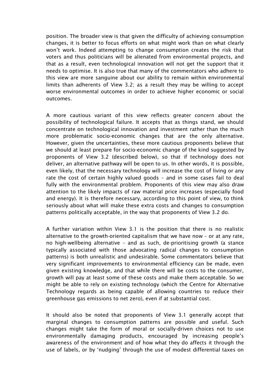position. The broader view is that given the difficulty of achieving consumption changes, it is better to focus efforts on what might work than on what clearly won't work. Indeed attempting to change consumption creates the risk that voters and thus politicians will be alienated from environmental projects, and that as a result, even technological innovation will not get the support that it needs to optimise. It is also true that many of the commentators who adhere to this view are more sanguine about our ability to remain within environmental limits than adherents of View 3.2; as a result they may be willing to accept worse environmental outcomes in order to achieve higher economic or social outcomes.

A more cautious variant of this view reflects greater concern about the possibility of technological failure. It accepts that as things stand, we should concentrate on technological innovation and investment rather than the much more problematic socio-economic changes that are the only alternative. However, given the uncertainties, these more cautious proponents believe that we should at least prepare for socio-economic change of the kind suggested by proponents of View 3.2 (described below), so that if technology does not deliver, an alternative pathway will be open to us. In other words, it is possible, even likely, that the necessary technology will increase the cost of living or any rate the cost of certain highly valued goods – and in some cases fail to deal fully with the environmental problem. Proponents of this view may also draw attention to the likely impacts of raw material price increases (especially food and energy). It is therefore necessary, according to this point of view, to think seriously about what will make these extra costs and changes to consumption patterns politically acceptable, in the way that proponents of View 3.2 do.

A further variation within View 3.1 is the position that there is no realistic alternative to the growth-oriented capitalism that we have now – or at any rate, no high-wellbeing alternative – and as such, de-prioritising growth (a stance typically associated with those advocating radical changes to consumption patterns) is both unrealistic and undesirable. Some commentators believe that very significant improvements to environmental efficiency can be made, even given existing knowledge, and that while there will be costs to the consumer, growth will pay at least some of these costs and make them acceptable. So we might be able to rely on existing technology (which the Centre for Alternative Technology regards as being capable of allowing countries to reduce their greenhouse gas emissions to net zero), even if at substantial cost.

It should also be noted that proponents of View 3.1 generally accept that marginal changes to consumption patterns are possible and useful. Such changes might take the form of moral or socially-driven choices not to use environmentally damaging products, encouraged by increasing people's awareness of the environment and of how what they do affects it through the use of labels, or by 'nudging' through the use of modest differential taxes on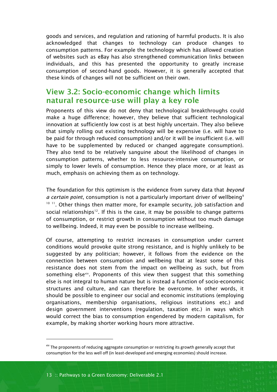goods and services, and regulation and rationing of harmful products. It is also acknowledged that changes to technology can produce changes to consumption patterns. For example the technology which has allowed creation of websites such as eBay has also strengthened communication links between individuals, and this has presented the opportunity to greatly increase consumption of second-hand goods. However, it is generally accepted that these kinds of changes will not be sufficient on their own.

### <span id="page-12-0"></span>**View 3.2: Socio-economic change which limits natural resource-use will play a key role**

Proponents of this view do not deny that technological breakthroughs could make a huge difference; however, they believe that sufficient technological innovation at sufficiently low cost is at best highly uncertain. They also believe that simply rolling out existing technology will be expensive (i.e. will have to be paid for through reduced consumption) and/or it will be insufficient (i.e. will have to be supplemented by reduced or changed aggregate consumption). They also tend to be relatively sanguine about the likelihood of changes in consumption patterns, whether to less resource-intensive consumption, or simply to lower levels of consumption. Hence they place more, or at least as much, emphasis on achieving them as on technology.

The foundation for this optimism is the evidence from survey data that *beyond a certain point*, consumption is not a particularly important driver of wellbeing<sup>9</sup> <sup>10 11</sup>. Other things then matter more, for example security, job satisfaction and social relationships<sup>12</sup>. If this is the case, it may be possible to change patterns of consumption, or restrict growth in consumption without too much damage to wellbeing. Indeed, it may even be possible to increase wellbeing.

Of course, attempting to restrict increases in consumption under current conditions would provoke quite strong resistance, and is highly unlikely to be suggested by any politician; however, it follows from the evidence on the connection between consumption and wellbeing that at least some of this resistance does not stem from the impact on wellbeing as such, but from something elsexiv. Proponents of this view then suggest that this something else is not integral to human nature but is instead a function of socio-economic structures and culture, and can therefore be overcome. In other words, it should be possible to engineer our social and economic institutions (employing organisations, membership organisations, religious institutions etc.) and design government interventions (regulation, taxation etc.) in ways which would correct the bias to consumption engendered by modern capitalism, for example, by making shorter working hours more attractive.

1

xiv The proponents of reducing aggregate consumption or restricting its growth generally accept that consumption for the less well off (in least-developed and emerging economies) should increase.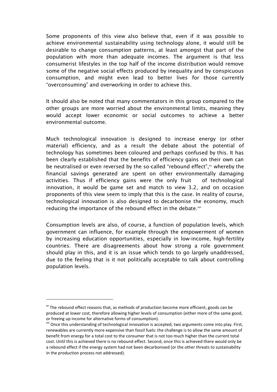Some proponents of this view also believe that, even if it was possible to achieve environmental sustainability using technology alone, it would still be desirable to change consumption patterns, at least amongst that part of the population with more than adequate incomes. The argument is that less consumerist lifestyles in the top half of the income distribution would remove some of the negative social effects produced by inequality and by conspicuous consumption, and might even lead to better lives for those currently "overconsuming" and overworking in order to achieve this.

It should also be noted that many commentators in this group compared to the other groups are more worried about the environmental limits, meaning they would accept lower economic or social outcomes to achieve a better environmental outcome.

Much technological innovation is designed to increase energy (or other material) efficiency, and as a result the debate about the potential of technology has sometimes been coloured and perhaps confused by this. It has been clearly established that the benefits of efficiency gains on their own can be neutralised or even reversed by the so-called "rebound effect", xv whereby the financial savings generated are spent on other environmentally damaging activities. Thus if efficiency gains were the only fruit of technological innovation, it would be game set and match to view 3.2, and on occasion proponents of this view seem to imply that this is the case. In reality of course, technological innovation is also designed to decarbonise the economy, much reducing the importance of the rebound effect in the debate.<sup>xvi</sup>

Consumption levels are also, of course, a function of population levels, which government can influence, for example through the empowerment of women by increasing education opportunities, especially in low-income, high-fertility countries. There are disagreements about how strong a role government should play in this, and it is an issue which tends to go largely unaddressed, due to the feeling that is it not politically acceptable to talk about controlling population levels.

1

 $\mu$ <sup>xv</sup> The rebound effect reasons that, as methods of production become more efficient, goods can be produced at lower cost, therefore allowing higher levels of consumption (either more of the same good, or freeing up income for alternative forms of consumption).

<sup>&</sup>lt;sup>xvi</sup> Once this understanding of technological innovation is accepted, two arguments come into play. First, renewables are currently more expensive than fossil fuels: the challenge is to allow the same amount of benefit from energy for a total cost to the consumer that is not too much higher than the current total cost. Until this is achieved there is no rebound effect. Second, once this is achieved there would only be a rebound effect if the energy system had not been decarbonised (or the other threats to sustainability in the production process not addressed).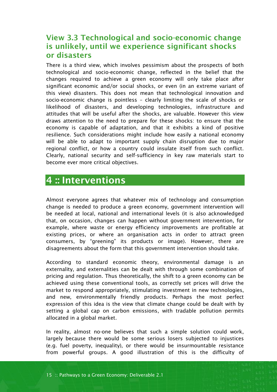### <span id="page-14-0"></span>**View 3.3 Technological and socio-economic change is unlikely, until we experience significant shocks or disasters**

There is a third view, which involves pessimism about the prospects of both technological and socio-economic change, reflected in the belief that the changes required to achieve a green economy will only take place after significant economic and/or social shocks, or even (in an extreme variant of this view) disasters. This does not mean that technological innovation and socio-economic change is pointless – clearly limiting the scale of shocks or likelihood of disasters, and developing technologies, infrastructure and attitudes that will be useful after the shocks, are valuable. However this view draws attention to the need to prepare for these shocks: to ensure that the economy is capable of adaptation, and that it exhibits a kind of positive resilience. Such considerations might include how easily a national economy will be able to adapt to important supply chain disruption due to major regional conflict, or how a country could insulate itself from such conflict. Clearly, national security and self-sufficiency in key raw materials start to become ever more critical objectives.

### <span id="page-14-1"></span>**4 :: Interventions**

Almost everyone agrees that whatever mix of technology and consumption change is needed to produce a green economy, government intervention will be needed at local, national and international levels (it is also acknowledged that, on occasion, changes can happen without government intervention, for example, where waste or energy efficiency improvements are profitable at existing prices, or where an organisation acts in order to attract green consumers, by "greening" its products or image). However, there are disagreements about the form that this government intervention should take.

According to standard economic theory, environmental damage is an externality, and externalities can be dealt with through some combination of pricing and regulation. Thus theoretically, the shift to a green economy can be achieved using these conventional tools, as correctly set prices will drive the market to respond appropriately, stimulating investment in new technologies, and new, environmentally friendly products. Perhaps the most perfect expression of this idea is the view that climate change could be dealt with by setting a global cap on carbon emissions, with tradable pollution permits allocated in a global market.

In reality, almost no-one believes that such a simple solution could work, largely because there would be some serious losers subjected to injustices (e.g. fuel poverty, inequality), or there would be insurmountable resistance from powerful groups. A good illustration of this is the difficulty of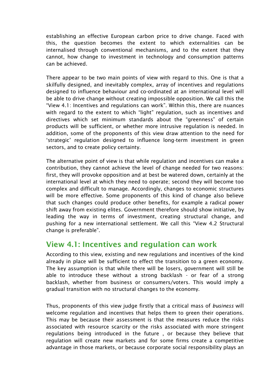establishing an effective European carbon price to drive change. Faced with this, the question becomes the extent to which externalities can be internalised through conventional mechanisms, and to the extent that they cannot, how change to investment in technology and consumption patterns can be achieved.

There appear to be two main points of view with regard to this. One is that a skilfully designed, and inevitably complex, array of incentives and regulations designed to influence behaviour and co-ordinated at an international level will be able to drive change without creating impossible opposition. We call this the "View 4.1: Incentives and regulations can work". Within this, there are nuances with regard to the extent to which "light" regulation, such as incentives and directives which set minimum standards about the "greenness" of certain products will be sufficient, or whether more intrusive regulation is needed. In addition, some of the proponents of this view draw attention to the need for 'strategic' regulation designed to influence long-term investment in green sectors, and to create policy certainty.

The alternative point of view is that while regulation and incentives can make a contribution, they cannot achieve the level of change needed for two reasons: first, they will provoke opposition and at best be watered down, certainly at the international level at which they need to operate; second they will become too complex and difficult to manage. Accordingly, changes to economic structures will be more effective. Some proponents of this kind of change also believe that such changes could produce other benefits, for example a radical power shift away from existing elites. Government therefore should show initiative, by leading the way in terms of investment, creating structural change, and pushing for a new international settlement. We call this "View 4.2 Structural change is preferable".

### <span id="page-15-0"></span>**View 4.1: Incentives and regulation can work**

According to this view, existing and new regulations and incentives of the kind already in place will be sufficient to effect the transition to a green economy. The key assumption is that while there will be losers, government will still be able to introduce these without a strong backlash - or fear of a strong backlash, whether from business or consumers/voters. This would imply a gradual transition with no structural changes to the economy.

Thus, proponents of this view judge firstly that a critical mass of *business* will welcome regulation and incentives that helps them to green their operations. This may be because their assessment is that the measures reduce the risks associated with resource scarcity or the risks associated with more stringent regulations being introduced in the future , or because they believe that regulation will create new markets and for some firms create a competitive advantage in those markets, or because corporate social responsibility plays an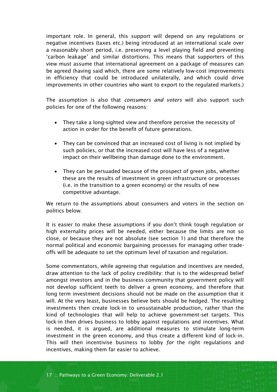important role. In general, this support will depend on any regulations or negative incentives (taxes etc.) being introduced at an international scale over a reasonably short period, i.e. preserving a level playing field and preventing 'carbon leakage' and similar distortions. This means that supporters of this view must assume that international agreement on a package of measures can be agreed (having said which, there are some relatively low-cost improvements in efficiency that could be introduced unilaterally, and which could drive improvements in other countries who want to export to the regulated markets.)

The assumption is also that *consumers and voters* will also support such policies for one of the following reasons:

- They take a long-sighted view and therefore perceive the necessity of action in order for the benefit of future generations.
- They can be convinced that an increased cost of living is not implied by such policies, or that the increased cost will have less of a negative impact on their wellbeing than damage done to the environment.
- They can be persuaded because of the prospect of green jobs, whether these are the results of investment in green infrastructure or processes (i.e. in the transition to a green economy) or the results of new competitive advantage.

We return to the assumptions about consumers and voters in the section on politics below.

It is easier to make these assumptions if you don't think tough regulation or high externality prices will be needed, either because the limits are not so close, or because they are not absolute (see section 1) and that therefore the normal political and economic bargaining processes for managing other tradeoffs will be adequate to set the optimum level of taxation and regulation.

Some commentators, while agreeing that regulation and incentives are needed, draw attention to the lack of policy credibility: that is to the widespread belief amongst investors and in the business community that government policy will not develop sufficient teeth to deliver a green economy, and therefore that long term investment decisions should not be made on the assumption that it will. At the very least, businesses believe bets should be hedged. The resulting investments then create lock-in to unsustainable production, rather than the kind of technologies that will help to achieve government-set targets. This lock-in then drives business to lobby against regulations and incentives. What is needed, it is argued, are additional measures to stimulate long-term investment in the green economy, and thus create a different kind of lock-in. This will then incentivise business to lobby *for* the right regulations and incentives, making them far easier to achieve.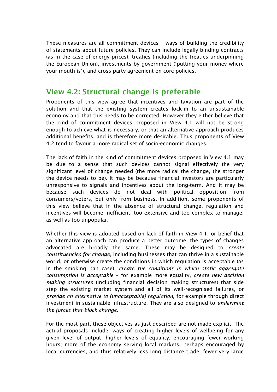These measures are all commitment devices – ways of building the credibility of statements about future policies. They can include legally binding contracts (as in the case of energy prices), treaties (including the treaties underpinning the European Union), investments by government ('putting your money where your mouth is'), and cross-party agreement on core policies.

### <span id="page-17-0"></span>**View 4.2: Structural change is preferable**

Proponents of this view agree that incentives and taxation are part of the solution and that the existing system creates lock-in to an unsustainable economy and that this needs to be corrected. However they either believe that the kind of commitment devices proposed in View 4.1 will not be strong enough to achieve what is necessary, or that an alternative approach produces additional benefits, and is therefore more desirable. Thus proponents of View 4.2 tend to favour a more radical set of socio-economic changes.

The lack of faith in the kind of commitment devices proposed in View 4.1 may be due to a sense that such devices cannot signal effectively the very significant level of change needed (the more radical the change, the stronger the device needs to be). It may be because financial investors are particularly unresponsive to signals and incentives about the long-term. And it may be because such devices do not deal with political opposition from consumers/voters, but only from business. In addition, some proponents of this view believe that in the absence of structural change, regulation and incentives will become inefficient: too extensive and too complex to manage, as well as too unpopular.

Whether this view is adopted based on lack of faith in View 4.1, or belief that an alternative approach can produce a better outcome, the types of changes advocated are broadly the same. These may be designed to *create constituencies for change*, including businesses that can thrive in a sustainable world, or otherwise create the conditions in which regulation is acceptable (as in the smoking ban case), *create the conditions in which static aggregate consumption is acceptable* – for example more equality, *create new decision making structures* (including financial decision making structures) that side step the existing market system and all of its well-recognised failures, or *provide an alternative to (unacceptable) regulation,* for example through direct investment in sustainable infrastructure. They are also designed to *undermine the forces that block change*.

For the most part, these objectives as just described are not made explicit. The actual proposals include: ways of creating higher levels of wellbeing for any given level of output; higher levels of equality; encouraging fewer working hours; more of the economy serving local markets, perhaps encouraged by local currencies, and thus relatively less long distance trade; fewer very large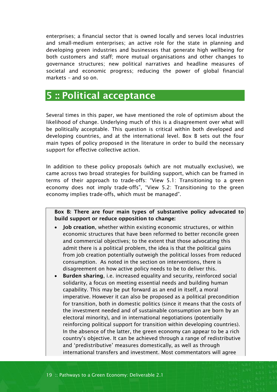enterprises; a financial sector that is owned locally and serves local industries and small-medium enterprises; an active role for the state in planning and developing green industries and businesses that generate high wellbeing for both customers and staff; more mutual organisations and other changes to governance structures; new political narratives and headline measures of societal and economic progress; reducing the power of global financial markets – and so on.

## <span id="page-18-0"></span>**5 :: Political acceptance**

Several times in this paper, we have mentioned the role of optimism about the likelihood of change. Underlying much of this is a disagreement over what will be politically acceptable. This question is critical within both developed and developing countries, and at the international level. Box B sets out the four main types of policy proposed in the literature in order to build the necessary support for effective collective action.

In addition to these policy proposals (which are not mutually exclusive), we came across two broad strategies for building support, which can be framed in terms of their approach to trade-offs: "View 5.1: Transitioning to a green economy does not imply trade-offs", "View 5.2: Transitioning to the green economy implies trade-offs, which must be managed".

**Box B: There are four main types of substantive policy advocated to build support or reduce opposition to change:** 

- **Job creation**, whether within existing economic structures, or within economic structures that have been reformed to better reconcile green and commercial objectives; to the extent that those advocating this admit there is a political problem, the idea is that the political gains from job creation potentially outweigh the political losses from reduced consumption. As noted in the section on interventions, there is disagreement on how active policy needs to be to deliver this.
- **Burden sharing**, i.e. increased equality and security, reinforced social solidarity, a focus on meeting essential needs and building human capability. This may be put forward as an end in itself, a moral imperative. However it can also be proposed as a political precondition for transition, both in domestic politics (since it means that the costs of the investment needed and of sustainable consumption are born by an electoral minority), and in international negotiations (potentially reinforcing political support for transition within developing countries). In the absence of the latter, the green economy can appear to be a rich country's objective. It can be achieved through a range of redistributive and 'predistributive' measures domestically, as well as through international transfers and investment. Most commentators will agree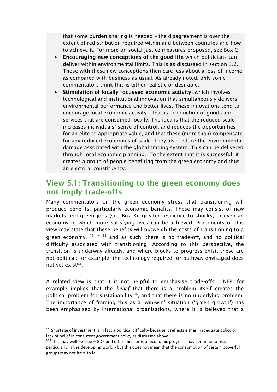that some burden sharing is needed – the disagreement is over the extent of redistribution required within and between countries and how to achieve it. For more on social justice measures proposed, see Box C.

- **Encouraging new conceptions of the good life** which politicians can deliver within environmental limits. This is as discussed in section 3.2. Those with these new conceptions then care less about a loss of income as compared with business as usual. As already noted, only some commentators think this is either realistic or desirable.
- **Stimulation of locally focussed economic activity**, which involves technological and institutional innovation that simultaneously delivers environmental performance and better lives. These innovations tend to encourage local economic activity – that is, production of goods and services that are consumed locally. The idea is that the reduced scale increases individuals' sense of control, and reduces the opportunities for an elite to appropriate value, and that these (more than) compensate for any reduced economies of scale. They also reduce the environmental damage associated with the global trading system. This can be delivered through local economic planning. To the extent that it is successful, it creates a group of people benefiting from the green economy and thus an electoral constituency.

### <span id="page-19-0"></span>**View 5.1: Transitioning to the green economy does not imply trade-offs**

Many commentators on the green economy stress that transitioning will produce benefits, particularly economic benefits. These may consist of new markets and green jobs (see Box B), greater resilience to shocks, or even an economy in which more satisfying lives can be achieved. Proponents of this view may state that these benefits will outweigh the costs of transitioning to a green economy,  $13 \times 14 \times 15$  and as such, there is no trade-off, and no political difficulty associated with transitioning. According to this perspective, the transition is underway already, and where blocks to progress exist, these are not political: for example, the technology required for pathway envisaged does not yet exist<sup>xvii</sup>.

A related view is that it is not helpful to emphasise trade-offs. UNEP, for example implies that the *belief* that there is a problem itself creates the political problem for sustainability<sup>xviii</sup>, and that there is no underlying problem. The importance of framing this as a 'win-win' situation ('green growth') has been emphasised by international organisations, where it is believed that a

l

<sup>&</sup>lt;sup>xvii</sup> Shortage of investment is in fact a political difficulty because it reflects either inadequate policy or lack of belief in consistent government policy as discussed above

xviii This may well be true – GDP and other measures of economic progress may continue to rise, particularly in the developing world - but this does not mean that the consumption of certain powerful groups may not have to fall.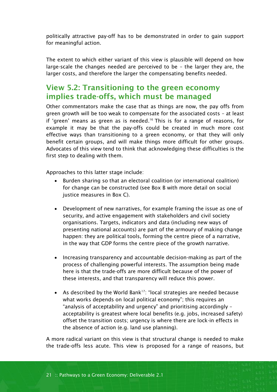politically attractive pay-off has to be demonstrated in order to gain support for meaningful action.

The extent to which either variant of this view is plausible will depend on how large-scale the changes needed are perceived to be – the larger they are, the larger costs, and therefore the larger the compensating benefits needed.

### <span id="page-20-0"></span>**View 5.2: Transitioning to the green economy implies trade-offs, which must be managed**

Other commentators make the case that as things are now, the pay offs from green growth will be too weak to compensate for the associated costs – at least if 'green' means as green as is needed. <sup>16</sup> This is for a range of reasons, for example it may be that the pay-offs could be created in much more cost effective ways than transitioning to a green economy, or that they will only benefit certain groups, and will make things more difficult for other groups. Advocates of this view tend to think that acknowledging these difficulties is the first step to dealing with them.

Approaches to this latter stage include:

- Burden sharing so that an electoral coalition (or international coalition) for change can be constructed (see Box B with more detail on social justice measures in Box C).
- Development of new narratives, for example framing the issue as one of security, and active engagement with stakeholders and civil society organisations. Targets, indicators and data (including new ways of presenting national accounts) are part of the armoury of making change happen: they are political tools, forming the centre piece of a narrative, in the way that GDP forms the centre piece of the growth narrative.
- Increasing transparency and accountable decision-making as part of the process of challenging powerful interests. The assumption being made here is that the trade-offs are more difficult because of the power of these interests, and that transparency will reduce this power.
- As described by the World Bank<sup>17</sup>: "local strategies are needed because what works depends on local political economy"; this requires an "analysis of acceptability and urgency" and prioritising accordingly – acceptability is greatest where local benefits (e.g. jobs, increased safety) offset the transition costs; urgency is where there are lock-in effects in the absence of action (e.g. land use planning).

A more radical variant on this view is that structural change is needed to make the trade-offs less acute. This view is proposed for a range of reasons, but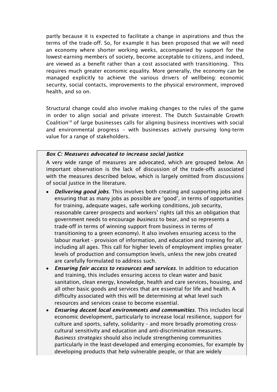partly because it is expected to facilitate a change in aspirations and thus the terms of the trade-off. So, for example it has been proposed that we will need an economy where shorter working weeks, accompanied by support for the lowest-earning members of society, become acceptable to citizens, and indeed, are viewed as a benefit rather than a cost associated with transitioning. This requires much greater economic equality. More generally, the economy can be managed explicitly to achieve the various drivers of wellbeing: economic security, social contacts, improvements to the physical environment, improved health, and so on.

Structural change could also involve making changes to the rules of the game in order to align social and private interest. The Dutch Sustainable Growth Coalition<sup>18</sup> of large businesses calls for aligning business incentives with social and environmental progress – with businesses actively pursuing long-term value for a range of stakeholders.

#### *Box C: Measures advocated to increase social justice*

A very wide range of measures are advocated, which are grouped below. An important observation is the lack of discussion of the trade-offs associated with the measures described below, which is largely omitted from discussions of social justice in the literature.

- *Delivering good jobs*. This involves both creating and supporting jobs and ensuring that as many jobs as possible are 'good', in terms of opportunities for training, adequate wages, safe working conditions, job security, reasonable career prospects and workers' rights (all this an obligation that government needs to encourage *business* to bear, and so represents a trade-off in terms of winning support from business in terms of transitioning to a green economy). It also involves ensuring access to the labour market - provision of information, and education and training for all, including all ages. This call for higher levels of employment implies greater levels of production and consumption levels, unless the new jobs created are carefully formulated to address such.
- *Ensuring fair access to resources and services*. In addition to education and training, this includes ensuring access to clean water and basic sanitation, clean energy, knowledge, health and care services, housing, and all other basic goods and services that are essential for life and health. A difficulty associated with this will be determining at what level such resources and services cease to become essential.
- *Ensuring decent local environments and communities*. This includes local economic development, particularly to increase local resilience, support for culture and sports, safety, solidarity – and more broadly promoting crosscultural sensitivity and education and anti-discrimination measures. *Business strategies* should also include strengthening communities particularly in the least-developed and emerging economies, for example by developing products that help vulnerable people, or that are widely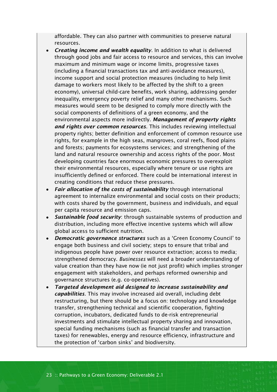affordable. They can also partner with communities to preserve natural resources.

- *Creating income and wealth equality*. In addition to what is delivered through good jobs and fair access to resource and services, this can involve maximum and minimum wage or income limits, progressive taxes (including a financial transactions tax and anti-avoidance measures), income support and social protection measures (including to help limit damage to workers most likely to be affected by the shift to a green economy), universal child-care benefits, work sharing, addressing gender inequality, emergency poverty relief and many other mechanisms. Such measures would seem to be designed to comply more directly with the social components of definitions of a green economy, and the environmental aspects more indirectly. *Management of property rights and rights over common resources*. This includes reviewing intellectual property rights; better definition and enforcement of common resource use rights, for example in the high seas, mangroves, coral reefs, flood plains and forests; payments for ecosystems services; and strengthening of the land and natural resource ownership and access rights of the poor. Most developing countries face enormous economic pressures to overexploit their environmental resources, especially where tenure or use rights are insufficiently defined or enforced. There could be international interest in creating conditions that reduce these pressures.
- *Fair allocation of the costs of sustainability* through international agreement to internalize environmental and social costs on their products; with costs shared by the government, business and individuals, and equal per capita resource and emission caps.
- *Sustainable food security*: through sustainable systems of production and distribution, including more effective incentive systems which will allow global access to sufficient nutrition.
- *Democratic governance structures* such as a 'Green Economy Council' to engage both business and civil society; steps to ensure that tribal and indigenous people have power over resource extraction; access to media; strengthened democracy. *Businesses* will need a broader understanding of value creation than they have now (ie not just profit) which implies stronger engagement with stakeholders, and perhaps reformed ownership and governance structures (e.g. co-operatives).
- *Targeted development aid designed to increase sustainability and capabilities*. This may involve increased aid overall, including debt restructuring, but there should be a focus on: technology and knowledge transfer, strengthening technical and scientific cooperation, fighting corruption, incubators, dedicated funds to de-risk entrepreneurial investments and stimulate intellectual property sharing and innovation, special funding mechanisms (such as financial transfer and transaction taxes) for renewables, energy and resource efficiency, infrastructure and the protection of 'carbon sinks' and biodiversity.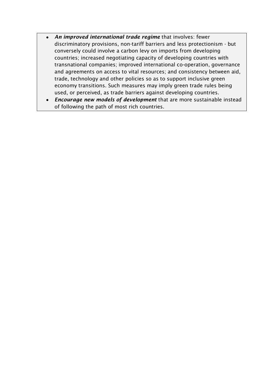- *An improved international trade regime* that involves: fewer discriminatory provisions, non-tariff barriers and less protectionism - but conversely could involve a carbon levy on imports from developing countries; increased negotiating capacity of developing countries with transnational companies; improved international co-operation, governance and agreements on access to vital resources; and consistency between aid, trade, technology and other policies so as to support inclusive green economy transitions. Such measures may imply green trade rules being used, or perceived, as trade barriers against developing countries.
- *Encourage new models of development* that are more sustainable instead of following the path of most rich countries.